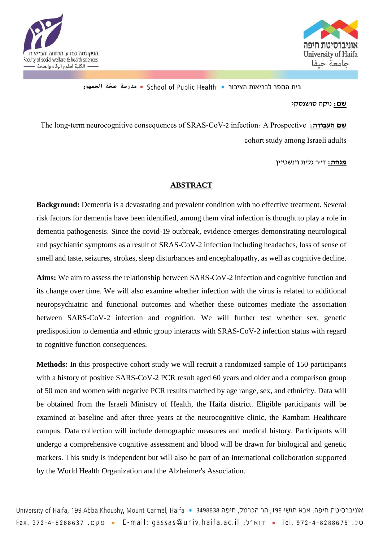



בית הספר לבריאות הציבור • School of Public Health • مدرسة صحّة الجمهور

**שם:** ניקה סושנסקי

The long-term neurocognitive consequences of SRAS-CoV-2 infection: A Prospective **:העבודה שם** cohort study among Israeli adults

**מנחה:** ד"ר גלית וינשטיין

## **ABSTRACT**

**Background:** Dementia is a devastating and prevalent condition with no effective treatment. Several risk factors for dementia have been identified, among them viral infection is thought to play a role in dementia pathogenesis. Since the covid-19 outbreak, evidence emerges demonstrating neurological and psychiatric symptoms as a result of SRAS-CoV-2 infection including headaches, loss of sense of smell and taste, seizures, strokes, sleep disturbances and encephalopathy, as well as cognitive decline.

**Aims:** We aim to assess the relationship between SARS-CoV-2 infection and cognitive function and its change over time. We will also examine whether infection with the virus is related to additional neuropsychiatric and functional outcomes and whether these outcomes mediate the association between SARS-CoV-2 infection and cognition. We will further test whether sex, genetic predisposition to dementia and ethnic group interacts with SRAS-CoV-2 infection status with regard to cognitive function consequences.

**Methods:** In this prospective cohort study we will recruit a randomized sample of 150 participants with a history of positive SARS-CoV-2 PCR result aged 60 years and older and a comparison group of 50 men and women with negative PCR results matched by age range, sex, and ethnicity. Data will be obtained from the Israeli Ministry of Health, the Haifa district. Eligible participants will be examined at baseline and after three years at the neurocognitive clinic, the Rambam Healthcare campus. Data collection will include demographic measures and medical history. Participants will undergo a comprehensive cognitive assessment and blood will be drawn for biological and genetic markers. This study is independent but will also be part of an international collaboration supported by the World Health Organization and the Alzheimer's Association.